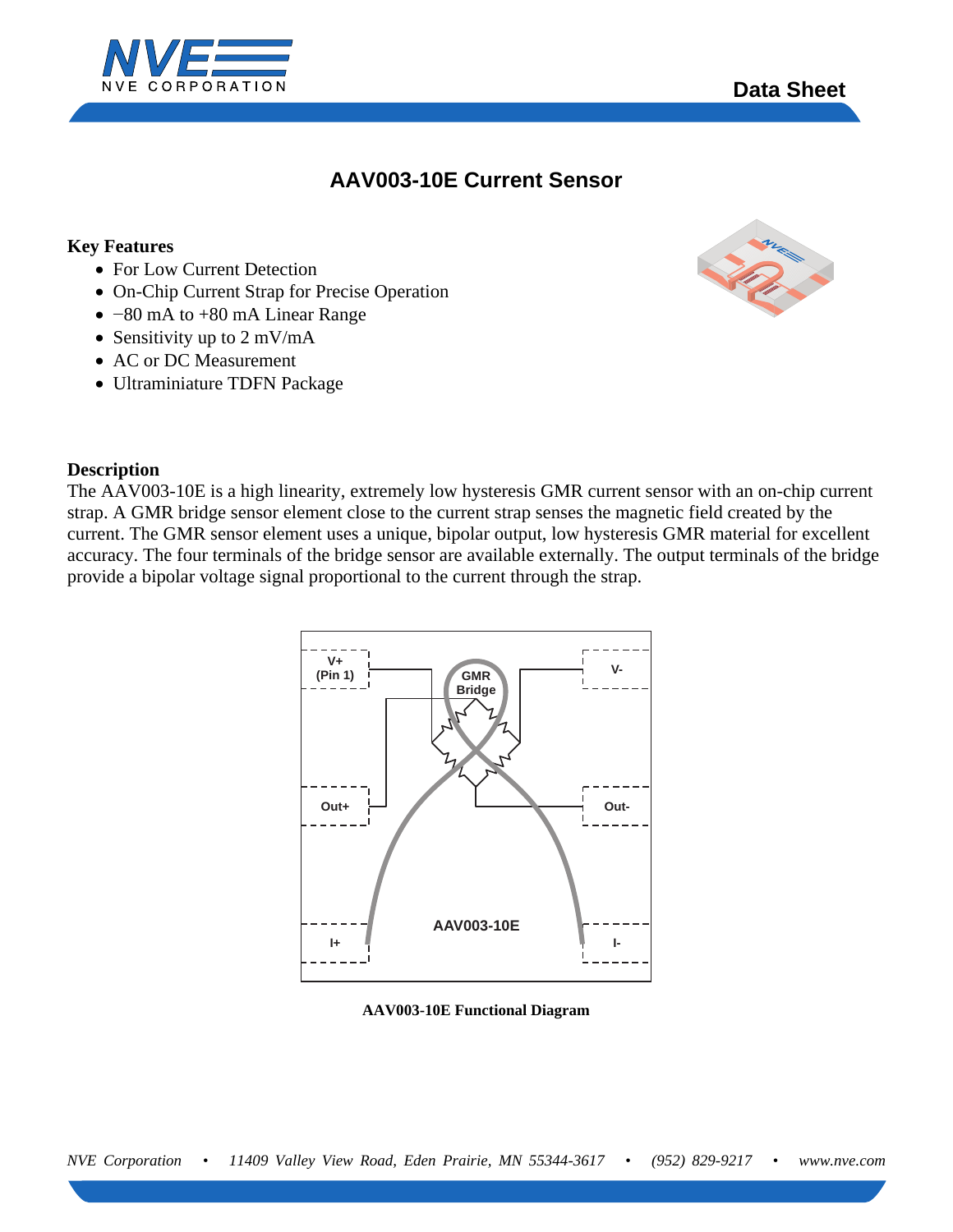



# **AAV003-10E Current Sensor**

### **Key Features**

- For Low Current Detection
- On-Chip Current Strap for Precise Operation
- −80 mA to +80 mA Linear Range
- Sensitivity up to 2 mV/mA
- AC or DC Measurement
- Ultraminiature TDFN Package



### **Description**

The AAV003-10E is a high linearity, extremely low hysteresis GMR current sensor with an on-chip current strap. A GMR bridge sensor element close to the current strap senses the magnetic field created by the current. The GMR sensor element uses a unique, bipolar output, low hysteresis GMR material for excellent accuracy. The four terminals of the bridge sensor are available externally. The output terminals of the bridge provide a bipolar voltage signal proportional to the current through the strap.



**AAV003-10E Functional Diagram**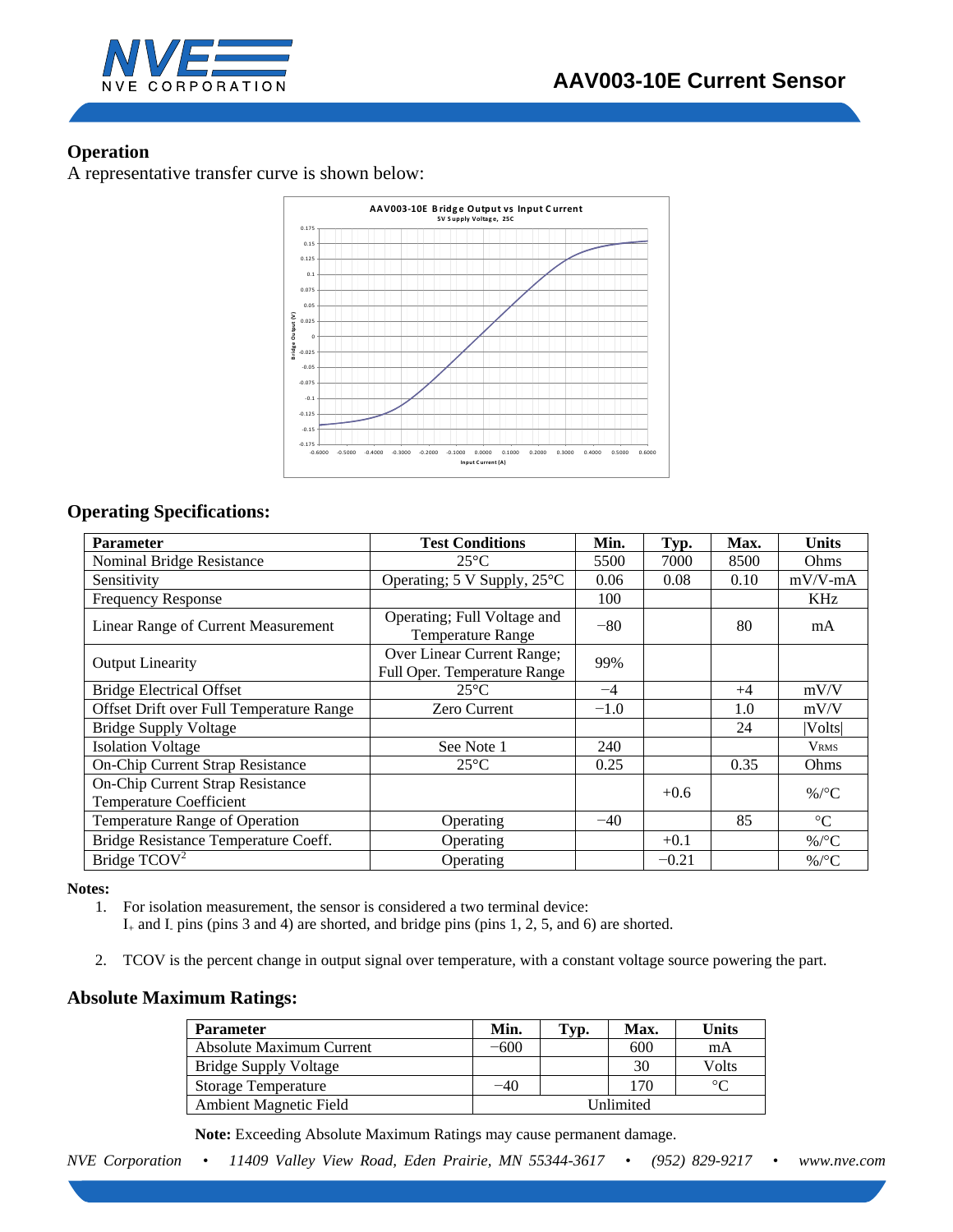

## **Operation**

A representative transfer curve is shown below:



# **Operating Specifications:**

| <b>Parameter</b>                                                          | <b>Test Conditions</b>                                     | Min.   | Typ.    | Max. | <b>Units</b>    |
|---------------------------------------------------------------------------|------------------------------------------------------------|--------|---------|------|-----------------|
| Nominal Bridge Resistance                                                 | $25^{\circ}$ C                                             | 5500   | 7000    | 8500 | Ohms            |
| Sensitivity                                                               | Operating; 5 V Supply, 25°C                                | 0.06   | 0.08    | 0.10 | $mV/V$ - $mA$   |
| Frequency Response                                                        |                                                            | 100    |         |      | <b>KHz</b>      |
| Linear Range of Current Measurement                                       | Operating; Full Voltage and<br><b>Temperature Range</b>    | $-80$  |         | 80   | mA              |
| <b>Output Linearity</b>                                                   | Over Linear Current Range;<br>Full Oper. Temperature Range | 99%    |         |      |                 |
| <b>Bridge Electrical Offset</b>                                           | $25^{\circ}$ C                                             | $-4$   |         | $+4$ | mV/V            |
| Offset Drift over Full Temperature Range                                  | Zero Current                                               | $-1.0$ |         | 1.0  | mV/V            |
| <b>Bridge Supply Voltage</b>                                              |                                                            |        |         | 24   | Volts           |
| <b>Isolation Voltage</b>                                                  | See Note 1                                                 | 240    |         |      | <b>VRMS</b>     |
| <b>On-Chip Current Strap Resistance</b>                                   | $25^{\circ}$ C                                             | 0.25   |         | 0.35 | Ohms            |
| <b>On-Chip Current Strap Resistance</b><br><b>Temperature Coefficient</b> |                                                            |        | $+0.6$  |      | %/ $\rm ^{o}C$  |
| Temperature Range of Operation                                            | Operating                                                  | $-40$  |         | 85   | $\rm ^{\circ}C$ |
| Bridge Resistance Temperature Coeff.                                      | Operating                                                  |        | $+0.1$  |      | %/ $\rm ^{o}C$  |
| Bridge $TCOV^2$                                                           | Operating                                                  |        | $-0.21$ |      | %/ $\rm ^{o}C$  |

#### **Notes:**

- 1. For isolation measurement, the sensor is considered a two terminal device:  $I_{+}$  and I<sub>-</sub> pins (pins 3 and 4) are shorted, and bridge pins (pins 1, 2, 5, and 6) are shorted.
- 2. TCOV is the percent change in output signal over temperature, with a constant voltage source powering the part.

### **Absolute Maximum Ratings:**

| <b>Parameter</b>                | Min.      | Typ. | Max. | Units   |
|---------------------------------|-----------|------|------|---------|
| <b>Absolute Maximum Current</b> | $-600$    |      | 600  | mA      |
| <b>Bridge Supply Voltage</b>    |           |      | 30   | Volts   |
| <b>Storage Temperature</b>      | -40       |      | 170  | $\circ$ |
| Ambient Magnetic Field          | Unlimited |      |      |         |

 **Note:** Exceeding Absolute Maximum Ratings may cause permanent damage.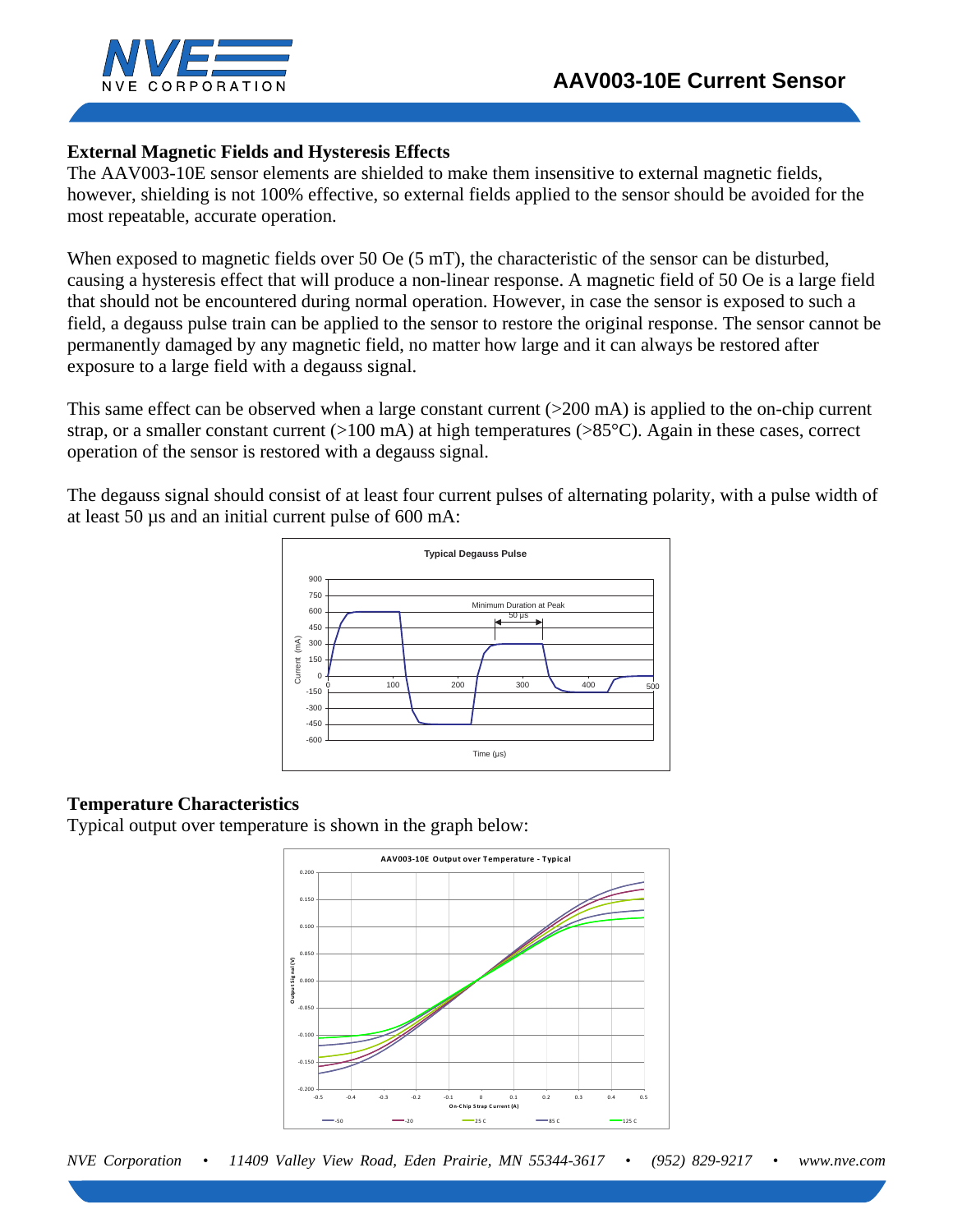

### **External Magnetic Fields and Hysteresis Effects**

The AAV003-10E sensor elements are shielded to make them insensitive to external magnetic fields, however, shielding is not 100% effective, so external fields applied to the sensor should be avoided for the most repeatable, accurate operation.

When exposed to magnetic fields over 50 Oe (5 mT), the characteristic of the sensor can be disturbed, causing a hysteresis effect that will produce a non-linear response. A magnetic field of 50 Oe is a large field that should not be encountered during normal operation. However, in case the sensor is exposed to such a field, a degauss pulse train can be applied to the sensor to restore the original response. The sensor cannot be permanently damaged by any magnetic field, no matter how large and it can always be restored after exposure to a large field with a degauss signal.

This same effect can be observed when a large constant current ( $>200$  mA) is applied to the on-chip current strap, or a smaller constant current  $(>100 \text{ mA})$  at high temperatures  $(>85^{\circ}\text{C})$ . Again in these cases, correct operation of the sensor is restored with a degauss signal.

The degauss signal should consist of at least four current pulses of alternating polarity, with a pulse width of at least 50 µs and an initial current pulse of 600 mA:



### **Temperature Characteristics**

Typical output over temperature is shown in the graph below: